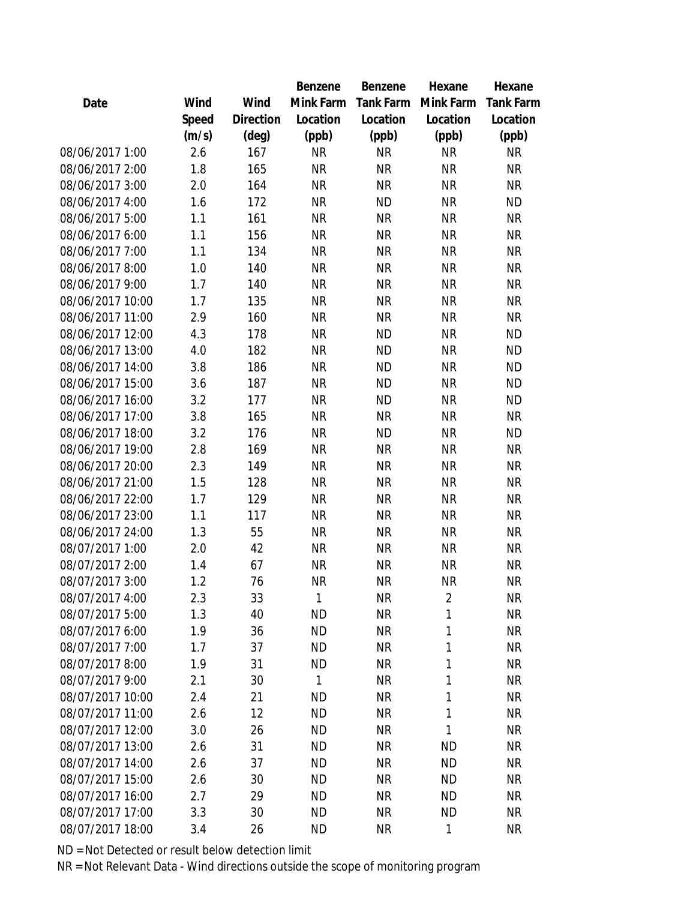|                  |       |                | Benzene      | Benzene   | Hexane         | Hexane           |
|------------------|-------|----------------|--------------|-----------|----------------|------------------|
| Date             | Wind  | Wind           | Mink Farm    | Tank Farm | Mink Farm      | <b>Tank Farm</b> |
|                  | Speed | Direction      | Location     | Location  | Location       | Location         |
|                  | (m/s) | $(\text{deg})$ | (ppb)        | (ppb)     | (ppb)          | (ppb)            |
| 08/06/2017 1:00  | 2.6   | 167            | <b>NR</b>    | <b>NR</b> | <b>NR</b>      | <b>NR</b>        |
| 08/06/2017 2:00  | 1.8   | 165            | <b>NR</b>    | <b>NR</b> | <b>NR</b>      | <b>NR</b>        |
| 08/06/2017 3:00  | 2.0   | 164            | <b>NR</b>    | <b>NR</b> | <b>NR</b>      | <b>NR</b>        |
| 08/06/2017 4:00  | 1.6   | 172            | <b>NR</b>    | <b>ND</b> | <b>NR</b>      | <b>ND</b>        |
| 08/06/2017 5:00  | 1.1   | 161            | <b>NR</b>    | <b>NR</b> | <b>NR</b>      | <b>NR</b>        |
| 08/06/2017 6:00  | 1.1   | 156            | <b>NR</b>    | <b>NR</b> | <b>NR</b>      | <b>NR</b>        |
| 08/06/2017 7:00  | 1.1   | 134            | <b>NR</b>    | <b>NR</b> | <b>NR</b>      | <b>NR</b>        |
| 08/06/2017 8:00  | 1.0   | 140            | <b>NR</b>    | <b>NR</b> | <b>NR</b>      | <b>NR</b>        |
| 08/06/2017 9:00  | 1.7   | 140            | <b>NR</b>    | <b>NR</b> | <b>NR</b>      | <b>NR</b>        |
| 08/06/2017 10:00 | 1.7   | 135            | <b>NR</b>    | <b>NR</b> | <b>NR</b>      | <b>NR</b>        |
| 08/06/2017 11:00 | 2.9   | 160            | <b>NR</b>    | <b>NR</b> | <b>NR</b>      | <b>NR</b>        |
| 08/06/2017 12:00 | 4.3   | 178            | <b>NR</b>    | <b>ND</b> | <b>NR</b>      | <b>ND</b>        |
| 08/06/2017 13:00 | 4.0   | 182            | <b>NR</b>    | <b>ND</b> | <b>NR</b>      | <b>ND</b>        |
| 08/06/2017 14:00 | 3.8   | 186            | <b>NR</b>    | <b>ND</b> | <b>NR</b>      | <b>ND</b>        |
| 08/06/2017 15:00 | 3.6   | 187            | <b>NR</b>    | <b>ND</b> | <b>NR</b>      | <b>ND</b>        |
| 08/06/2017 16:00 | 3.2   | 177            | <b>NR</b>    | <b>ND</b> | <b>NR</b>      | <b>ND</b>        |
| 08/06/2017 17:00 | 3.8   | 165            | <b>NR</b>    | <b>NR</b> | <b>NR</b>      | <b>NR</b>        |
| 08/06/2017 18:00 | 3.2   | 176            | <b>NR</b>    | <b>ND</b> | <b>NR</b>      | <b>ND</b>        |
| 08/06/2017 19:00 | 2.8   | 169            | <b>NR</b>    | <b>NR</b> | <b>NR</b>      | <b>NR</b>        |
| 08/06/2017 20:00 | 2.3   | 149            | <b>NR</b>    | <b>NR</b> | <b>NR</b>      | <b>NR</b>        |
| 08/06/2017 21:00 | 1.5   | 128            | <b>NR</b>    | <b>NR</b> | <b>NR</b>      | <b>NR</b>        |
| 08/06/2017 22:00 | 1.7   | 129            | <b>NR</b>    | <b>NR</b> | <b>NR</b>      | <b>NR</b>        |
| 08/06/2017 23:00 | 1.1   | 117            | <b>NR</b>    | <b>NR</b> | <b>NR</b>      | <b>NR</b>        |
| 08/06/2017 24:00 | 1.3   | 55             | <b>NR</b>    | <b>NR</b> | <b>NR</b>      | <b>NR</b>        |
| 08/07/2017 1:00  | 2.0   | 42             | <b>NR</b>    | <b>NR</b> | <b>NR</b>      | <b>NR</b>        |
| 08/07/2017 2:00  | 1.4   | 67             | <b>NR</b>    | <b>NR</b> | <b>NR</b>      | NR               |
| 08/07/2017 3:00  | 1.2   | 76             | <b>NR</b>    | <b>NR</b> | <b>NR</b>      | <b>NR</b>        |
| 08/07/2017 4:00  | 2.3   | 33             | 1            | <b>NR</b> | $\overline{2}$ | <b>NR</b>        |
| 08/07/2017 5:00  | 1.3   | 40             | <b>ND</b>    | <b>NR</b> | 1              | <b>NR</b>        |
| 08/07/2017 6:00  | 1.9   | 36             | <b>ND</b>    | <b>NR</b> | 1              | <b>NR</b>        |
| 08/07/2017 7:00  | 1.7   | 37             | <b>ND</b>    | <b>NR</b> | 1              | <b>NR</b>        |
| 08/07/2017 8:00  | 1.9   | 31             | <b>ND</b>    | <b>NR</b> | 1              | <b>NR</b>        |
| 08/07/2017 9:00  | 2.1   | 30             | $\mathbf{1}$ | <b>NR</b> | 1              | <b>NR</b>        |
| 08/07/2017 10:00 | 2.4   | 21             | <b>ND</b>    | <b>NR</b> | 1              | <b>NR</b>        |
| 08/07/2017 11:00 | 2.6   | 12             | <b>ND</b>    | <b>NR</b> | 1              | <b>NR</b>        |
| 08/07/2017 12:00 | 3.0   | 26             | <b>ND</b>    | <b>NR</b> | 1              | <b>NR</b>        |
| 08/07/2017 13:00 | 2.6   | 31             | <b>ND</b>    | <b>NR</b> | <b>ND</b>      | <b>NR</b>        |
| 08/07/2017 14:00 | 2.6   | 37             | <b>ND</b>    | <b>NR</b> | <b>ND</b>      | <b>NR</b>        |
| 08/07/2017 15:00 | 2.6   | 30             | <b>ND</b>    | <b>NR</b> | <b>ND</b>      | <b>NR</b>        |
| 08/07/2017 16:00 | 2.7   | 29             | <b>ND</b>    | <b>NR</b> | <b>ND</b>      | NR               |
| 08/07/2017 17:00 | 3.3   | 30             | <b>ND</b>    | <b>NR</b> | <b>ND</b>      | <b>NR</b>        |
| 08/07/2017 18:00 | 3.4   | 26             | <b>ND</b>    | <b>NR</b> | 1              | <b>NR</b>        |
|                  |       |                |              |           |                |                  |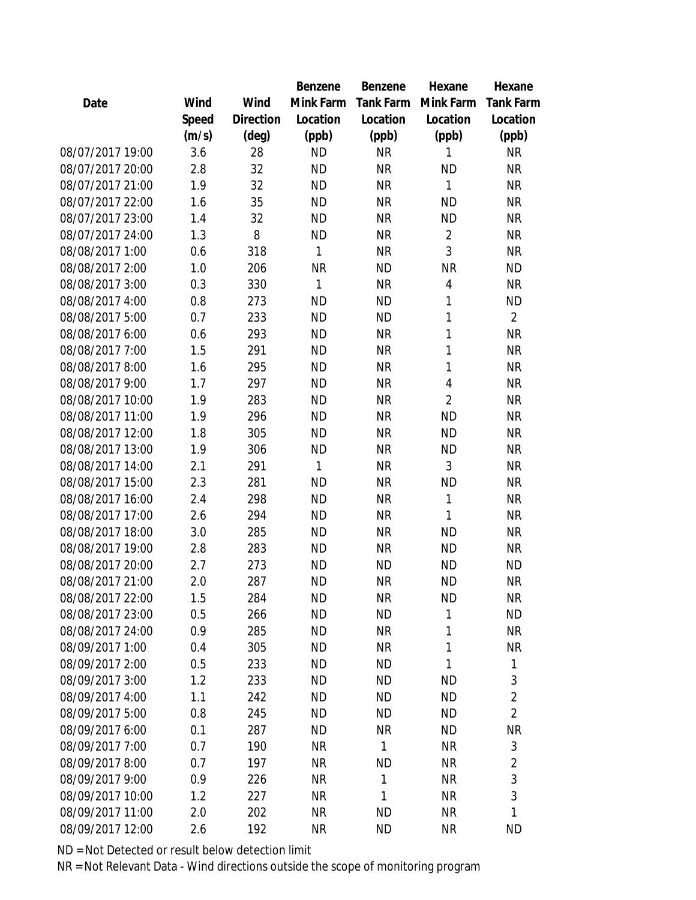| Date             | Wind  | Wind      | Mink Farm | <b>Tank Farm</b> | Mink Farm      | <b>Tank Farm</b> |
|------------------|-------|-----------|-----------|------------------|----------------|------------------|
|                  | Speed | Direction | Location  | Location         | Location       | Location         |
|                  | (m/s) | (deg)     | (ppb)     | (ppb)            | (ppb)          | (ppb)            |
| 08/07/2017 19:00 | 3.6   | 28        | <b>ND</b> | <b>NR</b>        | 1              | <b>NR</b>        |
| 08/07/2017 20:00 | 2.8   | 32        | <b>ND</b> | <b>NR</b>        | <b>ND</b>      | <b>NR</b>        |
| 08/07/2017 21:00 | 1.9   | 32        | <b>ND</b> | <b>NR</b>        | 1              | <b>NR</b>        |
| 08/07/2017 22:00 | 1.6   | 35        | <b>ND</b> | <b>NR</b>        | <b>ND</b>      | <b>NR</b>        |
| 08/07/2017 23:00 | 1.4   | 32        | <b>ND</b> | <b>NR</b>        | <b>ND</b>      | <b>NR</b>        |
| 08/07/2017 24:00 | 1.3   | 8         | <b>ND</b> | <b>NR</b>        | $\overline{2}$ | <b>NR</b>        |
| 08/08/2017 1:00  | 0.6   | 318       | 1         | <b>NR</b>        | 3              | <b>NR</b>        |
| 08/08/2017 2:00  | 1.0   | 206       | <b>NR</b> | <b>ND</b>        | <b>NR</b>      | <b>ND</b>        |
| 08/08/2017 3:00  | 0.3   | 330       | 1         | <b>NR</b>        | $\overline{4}$ | <b>NR</b>        |
| 08/08/2017 4:00  | 0.8   | 273       | <b>ND</b> | <b>ND</b>        | 1              | <b>ND</b>        |
| 08/08/2017 5:00  | 0.7   | 233       | <b>ND</b> | <b>ND</b>        | 1              | $\overline{2}$   |
| 08/08/2017 6:00  | 0.6   | 293       | <b>ND</b> | <b>NR</b>        | 1              | <b>NR</b>        |
| 08/08/2017 7:00  | 1.5   | 291       | <b>ND</b> | <b>NR</b>        | 1              | <b>NR</b>        |
| 08/08/2017 8:00  | 1.6   | 295       | <b>ND</b> | <b>NR</b>        | 1              | <b>NR</b>        |
| 08/08/2017 9:00  | 1.7   | 297       | <b>ND</b> | <b>NR</b>        | $\overline{4}$ | <b>NR</b>        |
| 08/08/2017 10:00 | 1.9   | 283       | <b>ND</b> | <b>NR</b>        | $\overline{2}$ | <b>NR</b>        |
| 08/08/2017 11:00 | 1.9   | 296       | <b>ND</b> | <b>NR</b>        | <b>ND</b>      | <b>NR</b>        |
| 08/08/2017 12:00 | 1.8   | 305       | <b>ND</b> | <b>NR</b>        | <b>ND</b>      | <b>NR</b>        |
| 08/08/2017 13:00 | 1.9   | 306       | <b>ND</b> | <b>NR</b>        | <b>ND</b>      | <b>NR</b>        |
| 08/08/2017 14:00 | 2.1   | 291       | 1         | <b>NR</b>        | 3              | <b>NR</b>        |
| 08/08/2017 15:00 | 2.3   | 281       | <b>ND</b> | <b>NR</b>        | <b>ND</b>      | <b>NR</b>        |
| 08/08/2017 16:00 | 2.4   | 298       | <b>ND</b> | <b>NR</b>        | 1              | <b>NR</b>        |
| 08/08/2017 17:00 | 2.6   | 294       | <b>ND</b> | <b>NR</b>        | 1              | <b>NR</b>        |
| 08/08/2017 18:00 | 3.0   | 285       | <b>ND</b> | <b>NR</b>        | <b>ND</b>      | <b>NR</b>        |
| 08/08/2017 19:00 | 2.8   | 283       | <b>ND</b> | <b>NR</b>        | <b>ND</b>      | <b>NR</b>        |
| 08/08/2017 20:00 | 2.7   | 273       | <b>ND</b> | <b>ND</b>        | <b>ND</b>      | <b>ND</b>        |
| 08/08/2017 21:00 | 2.0   | 287       | <b>ND</b> | <b>NR</b>        | <b>ND</b>      | <b>NR</b>        |
| 08/08/2017 22:00 | 1.5   | 284       | <b>ND</b> | <b>NR</b>        | <b>ND</b>      | <b>NR</b>        |
| 08/08/2017 23:00 | 0.5   | 266       | <b>ND</b> | <b>ND</b>        | 1              | <b>ND</b>        |
| 08/08/2017 24:00 | 0.9   | 285       | <b>ND</b> | <b>NR</b>        | 1              | <b>NR</b>        |
| 08/09/2017 1:00  | 0.4   | 305       | <b>ND</b> | <b>NR</b>        | 1              | <b>NR</b>        |
| 08/09/2017 2:00  | 0.5   | 233       | <b>ND</b> | <b>ND</b>        | 1              | 1                |
| 08/09/2017 3:00  | 1.2   | 233       | <b>ND</b> | <b>ND</b>        | <b>ND</b>      | 3                |
| 08/09/2017 4:00  | 1.1   | 242       | <b>ND</b> | <b>ND</b>        | <b>ND</b>      | $\overline{2}$   |
| 08/09/2017 5:00  | 0.8   | 245       | <b>ND</b> | <b>ND</b>        | <b>ND</b>      | $\overline{2}$   |
| 08/09/2017 6:00  | 0.1   | 287       | <b>ND</b> | <b>NR</b>        | <b>ND</b>      | <b>NR</b>        |
| 08/09/2017 7:00  | 0.7   | 190       | <b>NR</b> | 1                | <b>NR</b>      | 3                |
| 08/09/2017 8:00  | 0.7   | 197       | <b>NR</b> | <b>ND</b>        | <b>NR</b>      | $\overline{2}$   |
| 08/09/2017 9:00  | 0.9   | 226       | <b>NR</b> | 1                | <b>NR</b>      | 3                |
| 08/09/2017 10:00 | 1.2   | 227       | <b>NR</b> | 1                | <b>NR</b>      | 3                |
| 08/09/2017 11:00 | 2.0   | 202       | <b>NR</b> | <b>ND</b>        | <b>NR</b>      | 1                |
| 08/09/2017 12:00 | 2.6   | 192       | <b>NR</b> | <b>ND</b>        | <b>NR</b>      | <b>ND</b>        |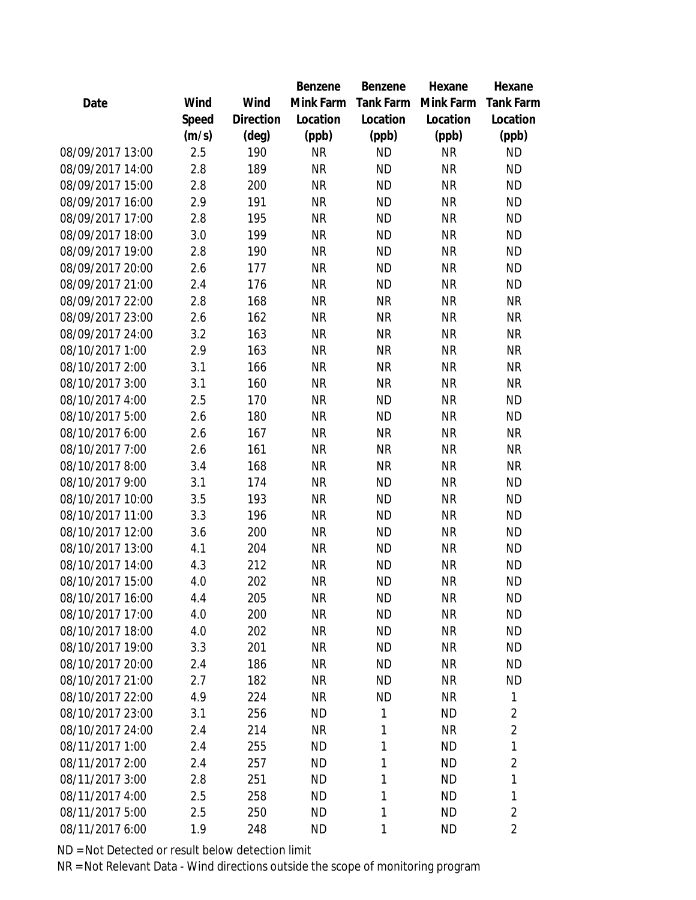|                  |       |                | Benzene   | Benzene   | Hexane    | Hexane           |
|------------------|-------|----------------|-----------|-----------|-----------|------------------|
| Date             | Wind  | Wind           | Mink Farm | Tank Farm | Mink Farm | <b>Tank Farm</b> |
|                  | Speed | Direction      | Location  | Location  | Location  | Location         |
|                  | (m/s) | $(\text{deg})$ | (ppb)     | (ppb)     | (ppb)     | (ppb)            |
| 08/09/2017 13:00 | 2.5   | 190            | <b>NR</b> | <b>ND</b> | <b>NR</b> | <b>ND</b>        |
| 08/09/2017 14:00 | 2.8   | 189            | <b>NR</b> | <b>ND</b> | <b>NR</b> | <b>ND</b>        |
| 08/09/2017 15:00 | 2.8   | 200            | <b>NR</b> | <b>ND</b> | <b>NR</b> | <b>ND</b>        |
| 08/09/2017 16:00 | 2.9   | 191            | <b>NR</b> | <b>ND</b> | <b>NR</b> | <b>ND</b>        |
| 08/09/2017 17:00 | 2.8   | 195            | <b>NR</b> | <b>ND</b> | <b>NR</b> | <b>ND</b>        |
| 08/09/2017 18:00 | 3.0   | 199            | <b>NR</b> | <b>ND</b> | <b>NR</b> | <b>ND</b>        |
| 08/09/2017 19:00 | 2.8   | 190            | <b>NR</b> | <b>ND</b> | <b>NR</b> | <b>ND</b>        |
| 08/09/2017 20:00 | 2.6   | 177            | <b>NR</b> | <b>ND</b> | <b>NR</b> | <b>ND</b>        |
| 08/09/2017 21:00 | 2.4   | 176            | <b>NR</b> | <b>ND</b> | <b>NR</b> | <b>ND</b>        |
| 08/09/2017 22:00 | 2.8   | 168            | <b>NR</b> | <b>NR</b> | <b>NR</b> | <b>NR</b>        |
| 08/09/2017 23:00 | 2.6   | 162            | <b>NR</b> | <b>NR</b> | <b>NR</b> | <b>NR</b>        |
| 08/09/2017 24:00 | 3.2   | 163            | <b>NR</b> | <b>NR</b> | <b>NR</b> | <b>NR</b>        |
| 08/10/2017 1:00  | 2.9   | 163            | <b>NR</b> | <b>NR</b> | <b>NR</b> | <b>NR</b>        |
| 08/10/2017 2:00  | 3.1   | 166            | <b>NR</b> | <b>NR</b> | <b>NR</b> | <b>NR</b>        |
| 08/10/2017 3:00  | 3.1   | 160            | <b>NR</b> | <b>NR</b> | <b>NR</b> | <b>NR</b>        |
| 08/10/2017 4:00  | 2.5   | 170            | <b>NR</b> | <b>ND</b> | <b>NR</b> | <b>ND</b>        |
| 08/10/2017 5:00  | 2.6   | 180            | <b>NR</b> | <b>ND</b> | <b>NR</b> | <b>ND</b>        |
| 08/10/2017 6:00  | 2.6   | 167            | <b>NR</b> | <b>NR</b> | <b>NR</b> | <b>NR</b>        |
| 08/10/2017 7:00  | 2.6   | 161            | <b>NR</b> | <b>NR</b> | <b>NR</b> | <b>NR</b>        |
| 08/10/2017 8:00  | 3.4   | 168            | <b>NR</b> | <b>NR</b> | <b>NR</b> | <b>NR</b>        |
| 08/10/2017 9:00  | 3.1   | 174            | <b>NR</b> | <b>ND</b> | <b>NR</b> | <b>ND</b>        |
| 08/10/2017 10:00 | 3.5   | 193            | <b>NR</b> | <b>ND</b> | <b>NR</b> | <b>ND</b>        |
| 08/10/2017 11:00 | 3.3   | 196            | <b>NR</b> | <b>ND</b> | <b>NR</b> | <b>ND</b>        |
| 08/10/2017 12:00 | 3.6   | 200            | <b>NR</b> | <b>ND</b> | <b>NR</b> | <b>ND</b>        |
| 08/10/2017 13:00 | 4.1   | 204            | <b>NR</b> | <b>ND</b> | <b>NR</b> | <b>ND</b>        |
| 08/10/2017 14:00 | 4.3   | 212            | <b>NR</b> | <b>ND</b> | <b>NR</b> | <b>ND</b>        |
| 08/10/2017 15:00 | 4.0   | 202            | <b>NR</b> | <b>ND</b> | <b>NR</b> | <b>ND</b>        |
| 08/10/2017 16:00 | 4.4   | 205            | <b>NR</b> | <b>ND</b> | <b>NR</b> | <b>ND</b>        |
| 08/10/2017 17:00 | 4.0   | 200            | <b>NR</b> | <b>ND</b> | <b>NR</b> | <b>ND</b>        |
| 08/10/2017 18:00 | 4.0   | 202            | <b>NR</b> | <b>ND</b> | <b>NR</b> | <b>ND</b>        |
| 08/10/2017 19:00 | 3.3   | 201            | NR        | <b>ND</b> | <b>NR</b> | <b>ND</b>        |
| 08/10/2017 20:00 | 2.4   | 186            | <b>NR</b> | <b>ND</b> | <b>NR</b> | <b>ND</b>        |
| 08/10/2017 21:00 | 2.7   | 182            | <b>NR</b> | <b>ND</b> | <b>NR</b> | <b>ND</b>        |
| 08/10/2017 22:00 | 4.9   | 224            | <b>NR</b> | <b>ND</b> | <b>NR</b> | 1                |
| 08/10/2017 23:00 | 3.1   | 256            | <b>ND</b> | 1         | <b>ND</b> | $\overline{2}$   |
| 08/10/2017 24:00 | 2.4   | 214            | <b>NR</b> | 1         | <b>NR</b> | $\overline{2}$   |
| 08/11/2017 1:00  | 2.4   | 255            | <b>ND</b> | 1         | <b>ND</b> | 1                |
| 08/11/2017 2:00  | 2.4   | 257            | <b>ND</b> | 1         | <b>ND</b> | $\overline{2}$   |
| 08/11/2017 3:00  | 2.8   | 251            | <b>ND</b> | 1         | <b>ND</b> | 1                |
| 08/11/2017 4:00  | 2.5   | 258            | <b>ND</b> | 1         | <b>ND</b> | 1                |
| 08/11/2017 5:00  | 2.5   | 250            | <b>ND</b> | 1         | <b>ND</b> | $\overline{2}$   |
| 08/11/2017 6:00  | 1.9   | 248            | <b>ND</b> | 1         | <b>ND</b> | $\overline{2}$   |
|                  |       |                |           |           |           |                  |